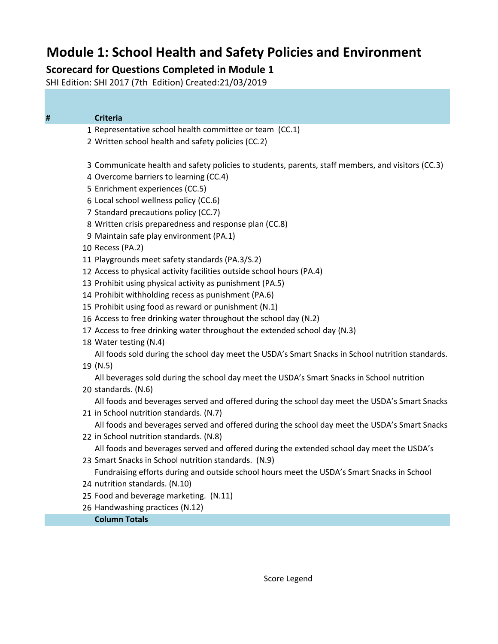# **Module 1: School Health and Safety Policies and Environment**

### **Scorecard for Questions Completed in Module 1**

SHI Edition: SHI 2017 (7th Edition) Created:21/03/2019

#### **# Criteria**

- Representative school health committee or team (CC.1)
- Written school health and safety policies (CC.2)
- Communicate health and safety policies to students, parents, staff members, and visitors (CC.3)
- Overcome barriers to learning (CC.4)
- Enrichment experiences (CC.5)
- Local school wellness policy (CC.6)
- Standard precautions policy (CC.7)
- Written crisis preparedness and response plan (CC.8)
- Maintain safe play environment (PA.1)
- Recess (PA.2)
- Playgrounds meet safety standards (PA.3/S.2)
- Access to physical activity facilities outside school hours (PA.4)
- Prohibit using physical activity as punishment (PA.5)
- Prohibit withholding recess as punishment (PA.6)
- Prohibit using food as reward or punishment (N.1)
- Access to free drinking water throughout the school day (N.2)
- Access to free drinking water throughout the extended school day (N.3)
- Water testing (N.4)

All foods sold during the school day meet the USDA's Smart Snacks in School nutrition standards.

(N.5)

All beverages sold during the school day meet the USDA's Smart Snacks in School nutrition

standards. (N.6)

 in School nutrition standards. (N.7) All foods and beverages served and offered during the school day meet the USDA's Smart Snacks

All foods and beverages served and offered during the school day meet the USDA's Smart Snacks

- in School nutrition standards. (N.8) All foods and beverages served and offered during the extended school day meet the USDA's
- Smart Snacks in School nutrition standards. (N.9)

 nutrition standards. (N.10) Fundraising efforts during and outside school hours meet the USDA's Smart Snacks in School

- Food and beverage marketing. (N.11)
- Handwashing practices (N.12)
	- **Column Totals**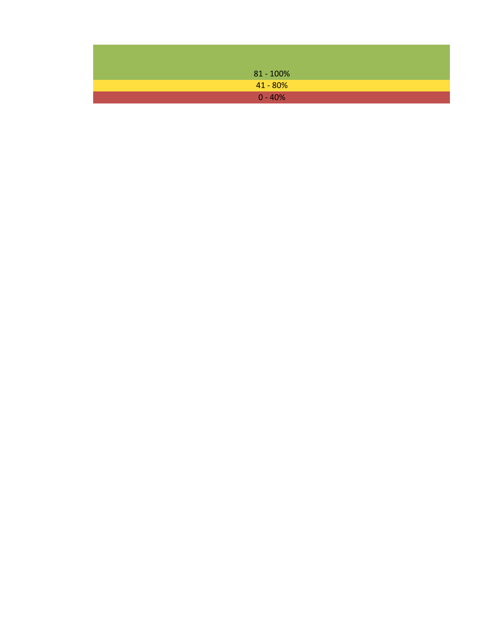| $81 - 100\%$ |
|--------------|
| $41 - 80%$   |
| $0 - 40%$    |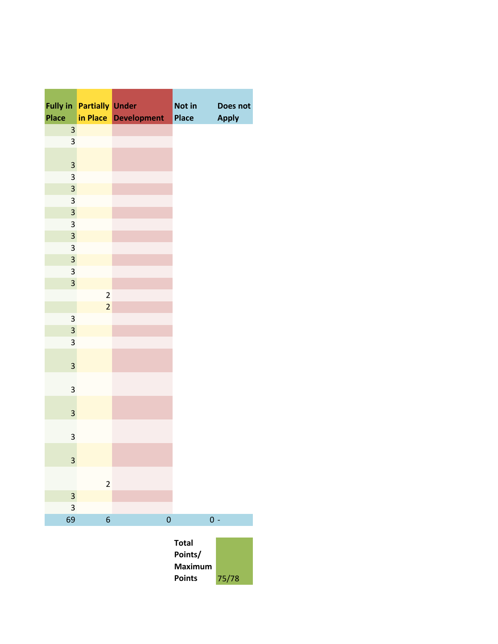|                                                    | Fully in Partially Under |                    | Not in | Does not     |
|----------------------------------------------------|--------------------------|--------------------|--------|--------------|
| Place                                              | in Place                 | <b>Development</b> | Place  | <b>Apply</b> |
| 3<br>3                                             |                          |                    |        |              |
|                                                    |                          |                    |        |              |
| 3                                                  |                          |                    |        |              |
| $\overline{\mathbf{3}}$                            |                          |                    |        |              |
| $\overline{\mathbf{3}}$                            |                          |                    |        |              |
| 3                                                  |                          |                    |        |              |
| $\overline{\mathbf{3}}$                            |                          |                    |        |              |
| 3                                                  |                          |                    |        |              |
| $\overline{\mathbf{3}}$                            |                          |                    |        |              |
| 3                                                  |                          |                    |        |              |
| $\overline{\mathbf{3}}$                            |                          |                    |        |              |
| $\overline{\mathbf{3}}$<br>$\overline{\mathbf{3}}$ |                          |                    |        |              |
|                                                    | $\overline{\mathbf{c}}$  |                    |        |              |
|                                                    | $\overline{a}$           |                    |        |              |
| 3                                                  |                          |                    |        |              |
| $\overline{\mathbf{3}}$                            |                          |                    |        |              |
| $\overline{\mathbf{3}}$                            |                          |                    |        |              |
|                                                    |                          |                    |        |              |
| 3                                                  |                          |                    |        |              |
|                                                    |                          |                    |        |              |
| $\mathsf 3$                                        |                          |                    |        |              |
|                                                    |                          |                    |        |              |
| 3                                                  |                          |                    |        |              |
| 3                                                  |                          |                    |        |              |
|                                                    |                          |                    |        |              |
| 3                                                  |                          |                    |        |              |
|                                                    |                          |                    |        |              |
|                                                    | $\overline{\mathbf{c}}$  |                    |        |              |
| 3                                                  |                          |                    |        |              |
| 3                                                  |                          |                    |        |              |
| 69                                                 | 6                        | $\bf{0}$           | $0 -$  |              |

| Total          |       |
|----------------|-------|
| Points/        |       |
| <b>Maximum</b> |       |
| <b>Points</b>  | 75/78 |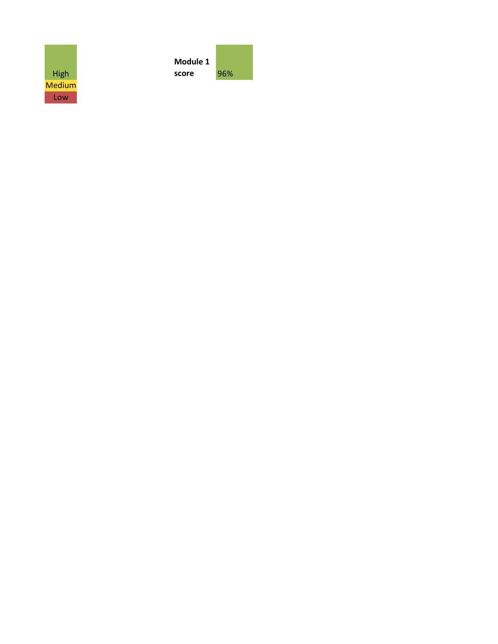

| Module 1 |     |
|----------|-----|
| score    | 96% |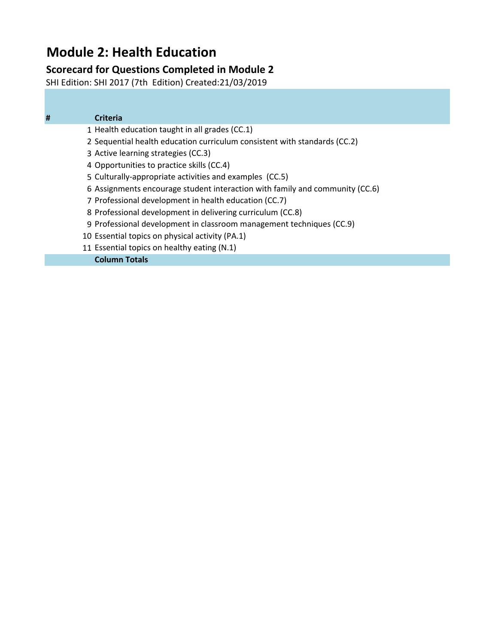# **Module 2: Health Education**

### **Scorecard for Questions Completed in Module 2**

SHI Edition: SHI 2017 (7th Edition) Created:21/03/2019

#### **# Criteria**

- Health education taught in all grades (CC.1)
- Sequential health education curriculum consistent with standards (CC.2)
- Active learning strategies (CC.3)
- Opportunities to practice skills (CC.4)
- Culturally-appropriate activities and examples (CC.5)
- Assignments encourage student interaction with family and community (CC.6)
- Professional development in health education (CC.7)
- Professional development in delivering curriculum (CC.8)
- Professional development in classroom management techniques (CC.9)
- Essential topics on physical activity (PA.1)
- Essential topics on healthy eating (N.1)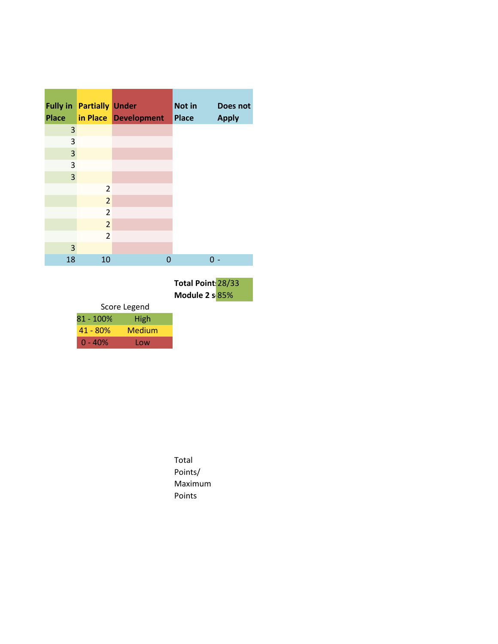| <b>Place</b>            | <b>Fully in Partially</b> | <b>Under</b><br>in Place Development | Not in<br><b>Place</b> | Does not<br><b>Apply</b> |
|-------------------------|---------------------------|--------------------------------------|------------------------|--------------------------|
| 3                       |                           |                                      |                        |                          |
| 3                       |                           |                                      |                        |                          |
| $\overline{\mathbf{3}}$ |                           |                                      |                        |                          |
| 3                       |                           |                                      |                        |                          |
| 3                       |                           |                                      |                        |                          |
|                         | 2                         |                                      |                        |                          |
|                         | $\overline{2}$            |                                      |                        |                          |
|                         | $\overline{2}$            |                                      |                        |                          |
|                         | $\overline{2}$            |                                      |                        |                          |
|                         | $\overline{2}$            |                                      |                        |                          |
| 3                       |                           |                                      |                        |                          |
| 18                      | 10                        | 0                                    |                        |                          |

**Total Point:** 28/33 **Module 2 s** 85%

Score Legend

| $81 - 100\%$ | High   |
|--------------|--------|
| $41 - 80%$   | Medium |
| $0 - 40%$    | Low    |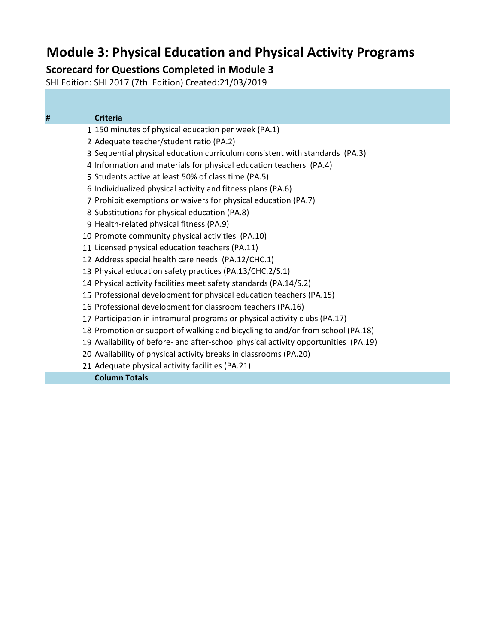## **Module 3: Physical Education and Physical Activity Programs**

#### **Scorecard for Questions Completed in Module 3**

SHI Edition: SHI 2017 (7th Edition) Created:21/03/2019

#### **# Criteria**

- 150 minutes of physical education per week (PA.1)
- Adequate teacher/student ratio (PA.2)
- Sequential physical education curriculum consistent with standards (PA.3)
- Information and materials for physical education teachers (PA.4)
- Students active at least 50% of class time (PA.5)
- Individualized physical activity and fitness plans (PA.6)
- Prohibit exemptions or waivers for physical education (PA.7)
- Substitutions for physical education (PA.8)
- Health-related physical fitness (PA.9)
- Promote community physical activities (PA.10)
- Licensed physical education teachers (PA.11)
- Address special health care needs (PA.12/CHC.1)
- Physical education safety practices (PA.13/CHC.2/S.1)
- Physical activity facilities meet safety standards (PA.14/S.2)
- Professional development for physical education teachers (PA.15)
- Professional development for classroom teachers (PA.16)
- Participation in intramural programs or physical activity clubs (PA.17)
- Promotion or support of walking and bicycling to and/or from school (PA.18)
- Availability of before- and after-school physical activity opportunities (PA.19)
- Availability of physical activity breaks in classrooms (PA.20)
- Adequate physical activity facilities (PA.21)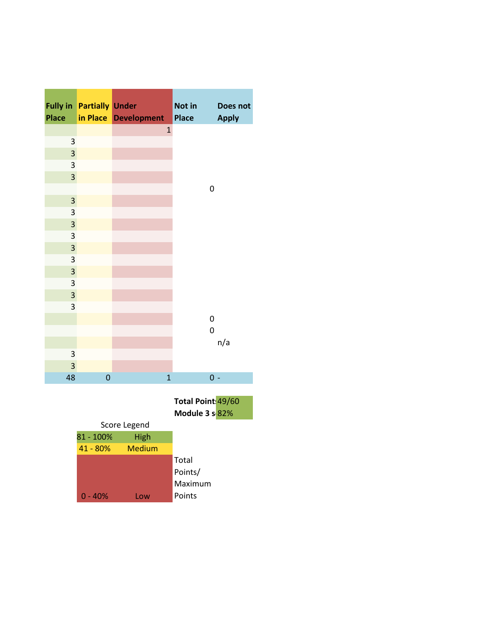| <b>Fully in</b><br><b>Place</b> | <b>Partially Under</b><br>in Place | <b>Development</b><br>ı | Not in<br>Does not<br><b>Place</b><br><b>Apply</b> |  |
|---------------------------------|------------------------------------|-------------------------|----------------------------------------------------|--|
|                                 |                                    | $\mathbf{1}$            |                                                    |  |
| 3                               |                                    |                         |                                                    |  |
| 3                               |                                    |                         |                                                    |  |
| 3                               |                                    |                         |                                                    |  |
| 3                               |                                    |                         |                                                    |  |
|                                 |                                    |                         | $\boldsymbol{0}$                                   |  |
| 3                               |                                    |                         |                                                    |  |
| 3                               |                                    |                         |                                                    |  |
| 3                               |                                    |                         |                                                    |  |
| 3                               |                                    |                         |                                                    |  |
| 3                               |                                    |                         |                                                    |  |
| 3                               |                                    |                         |                                                    |  |
| $\overline{\mathbf{3}}$         |                                    |                         |                                                    |  |
| 3                               |                                    |                         |                                                    |  |
| $\overline{\mathbf{3}}$<br>3    |                                    |                         |                                                    |  |
|                                 |                                    |                         | $\pmb{0}$                                          |  |
|                                 |                                    |                         | $\mathbf 0$                                        |  |
|                                 |                                    |                         | n/a                                                |  |
| 3                               |                                    |                         |                                                    |  |
| 3                               |                                    |                         |                                                    |  |
| 48                              | $\mathbf{0}$                       | $\overline{1}$          | $0 -$                                              |  |
|                                 |                                    |                         |                                                    |  |
|                                 |                                    |                         | Total Point: 49/60                                 |  |

|             |               | Module 3 s 82% |
|-------------|---------------|----------------|
|             | Score Legend  |                |
| 81 - 100%   | High          |                |
| $41 - 80\%$ | <b>Medium</b> |                |
|             |               | Total          |
|             |               | Points/        |
|             |               | Maximum        |
| - 40%       | Low           | Points         |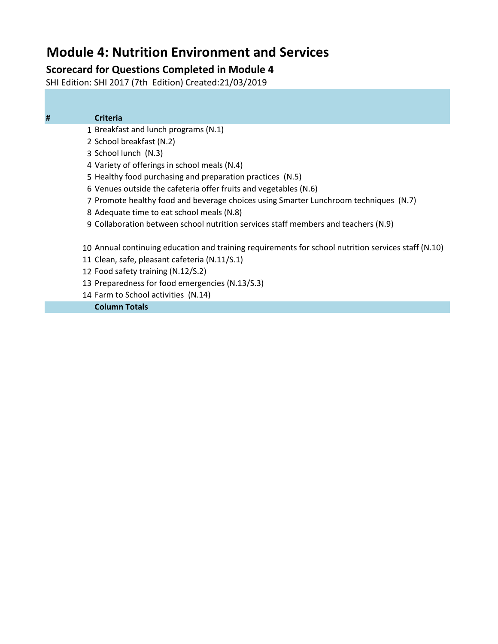# **Module 4: Nutrition Environment and Services**

### **Scorecard for Questions Completed in Module 4**

SHI Edition: SHI 2017 (7th Edition) Created:21/03/2019

#### **# Criteria**

- Breakfast and lunch programs (N.1)
- School breakfast (N.2)
- School lunch (N.3)
- Variety of offerings in school meals (N.4)
- Healthy food purchasing and preparation practices (N.5)
- Venues outside the cafeteria offer fruits and vegetables (N.6)
- Promote healthy food and beverage choices using Smarter Lunchroom techniques (N.7)
- Adequate time to eat school meals (N.8)
- Collaboration between school nutrition services staff members and teachers (N.9)

Annual continuing education and training requirements for school nutrition services staff (N.10)

- Clean, safe, pleasant cafeteria (N.11/S.1)
- Food safety training (N.12/S.2)
- Preparedness for food emergencies (N.13/S.3)
- Farm to School activities (N.14)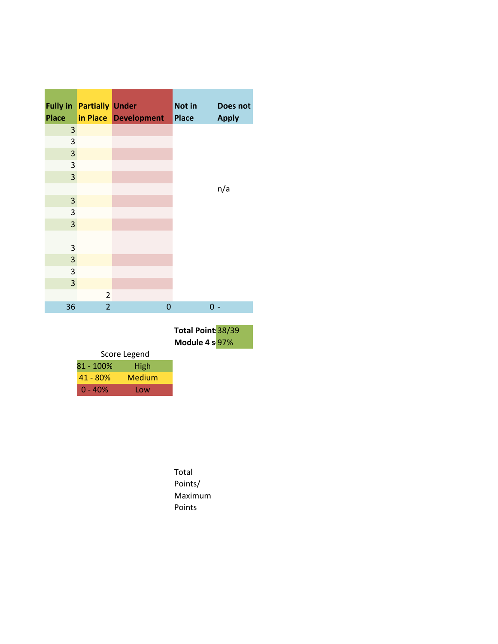| <b>Place</b>            | <b>Fully in Partially Under</b> | in Place Development | Not in<br><b>Place</b> | Does not<br><b>Apply</b> |
|-------------------------|---------------------------------|----------------------|------------------------|--------------------------|
| 3                       |                                 |                      |                        |                          |
| 3                       |                                 |                      |                        |                          |
| $\overline{\mathbf{3}}$ |                                 |                      |                        |                          |
| 3                       |                                 |                      |                        |                          |
| $\overline{\mathbf{3}}$ |                                 |                      |                        |                          |
|                         |                                 |                      |                        | n/a                      |
| 3                       |                                 |                      |                        |                          |
| $\mathsf 3$             |                                 |                      |                        |                          |
| 3                       |                                 |                      |                        |                          |
| 3                       |                                 |                      |                        |                          |
| $\overline{3}$          |                                 |                      |                        |                          |
| 3                       |                                 |                      |                        |                          |
| 3                       |                                 |                      |                        |                          |
|                         | $\overline{2}$                  |                      |                        |                          |
| 36                      | $\overline{2}$                  | 0                    |                        | 0                        |

**Total Point**: 38/39 **Module 4 s** 97%

| Score Legend      |        |  |
|-------------------|--------|--|
| 81 - 100%<br>High |        |  |
| $41 - 80%$        | Medium |  |
| $0 - 40%$         | Low    |  |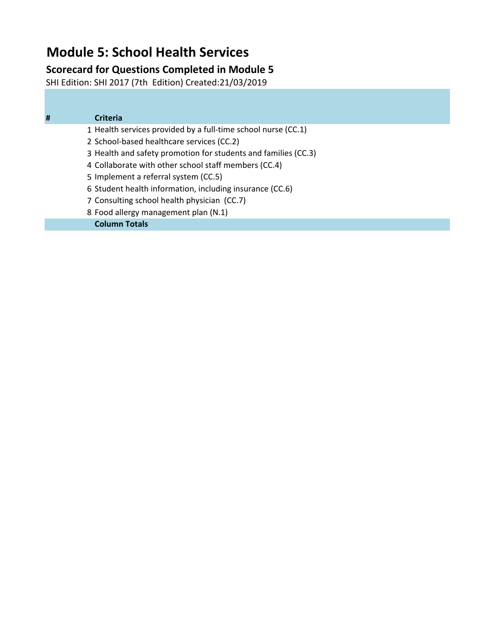# **Module 5: School Health Services**

### **Scorecard for Questions Completed in Module 5**

SHI Edition: SHI 2017 (7th Edition) Created:21/03/2019

#### **# Criteria**

- Health services provided by a full-time school nurse (CC.1)
- School-based healthcare services (CC.2)
- Health and safety promotion for students and families (CC.3)
- Collaborate with other school staff members (CC.4)
- Implement a referral system (CC.5)
- Student health information, including insurance (CC.6)
- Consulting school health physician (CC.7)
- Food allergy management plan (N.1)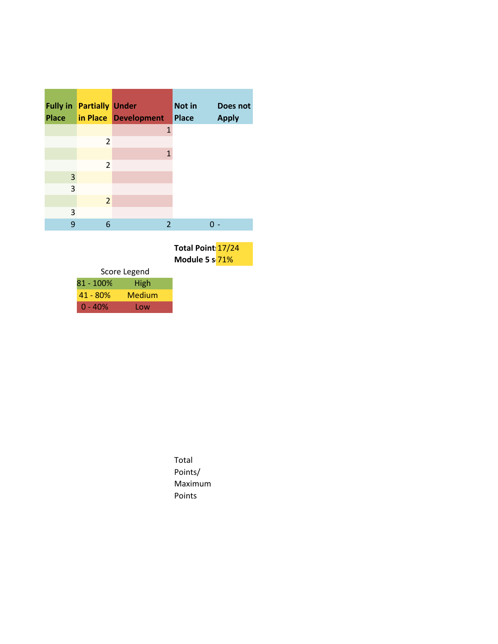| <b>Fully in</b><br><b>Place</b> | <b>Partially Under</b> | in Place Development | Not in<br><b>Place</b> | Does not<br><b>Apply</b> |
|---------------------------------|------------------------|----------------------|------------------------|--------------------------|
|                                 |                        | $\mathbf{1}$         |                        |                          |
|                                 | 2                      |                      |                        |                          |
|                                 |                        | 1                    |                        |                          |
|                                 | 2                      |                      |                        |                          |
| 3                               |                        |                      |                        |                          |
| 3                               |                        |                      |                        |                          |
|                                 | $\overline{2}$         |                      |                        |                          |
| 3                               |                        |                      |                        |                          |
| 9                               | 6                      | 2                    |                        |                          |

Total Point: 17/24 **Module 5 s 71%** 

| Score Legend |        |  |
|--------------|--------|--|
| 81 - 100%    | High   |  |
| $41 - 80%$   | Medium |  |
| $0 - 40%$    | Low    |  |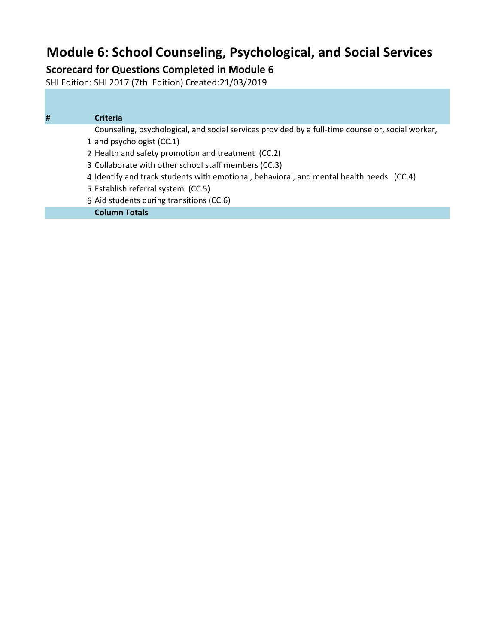# **Module 6: School Counseling, Psychological, and Social Services**

### **Scorecard for Questions Completed in Module 6**

SHI Edition: SHI 2017 (7th Edition) Created:21/03/2019

#### **# Criteria**

Counseling, psychological, and social services provided by a full-time counselor, social worker,

- 1 and psychologist (CC.1)
- 2 Health and safety promotion and treatment (CC.2)
- 3 Collaborate with other school staff members (CC.3)
- 4 Identify and track students with emotional, behavioral, and mental health needs (CC.4)
- 5 Establish referral system (CC.5)
- 6 Aid students during transitions (CC.6)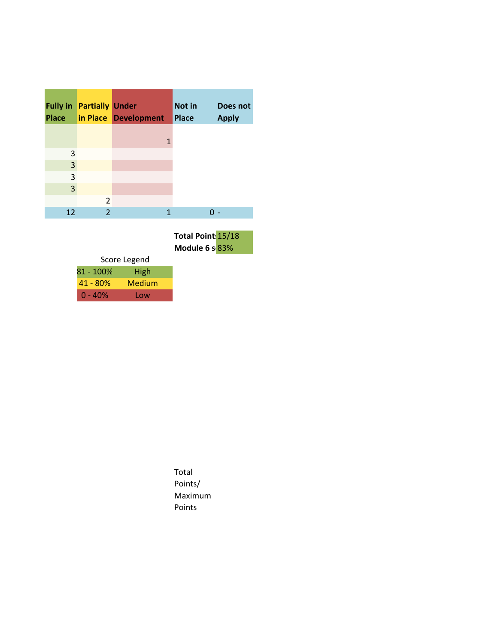| <b>Fully in</b><br><b>Place</b> | <b>Partially Under</b> | in Place Development | Not in<br><b>Place</b> | Does not<br><b>Apply</b> |
|---------------------------------|------------------------|----------------------|------------------------|--------------------------|
|                                 |                        | 1                    |                        |                          |
| 3                               |                        |                      |                        |                          |
| 3                               |                        |                      |                        |                          |
| 3                               |                        |                      |                        |                          |
| 3                               |                        |                      |                        |                          |
|                                 | 2                      |                      |                        |                          |
| 12                              | $\overline{2}$         | 1                    |                        |                          |

**Total Point:** 15/18 **Module 6 s** 83%

|            | Score Legend |
|------------|--------------|
| 81 - 100%  | <b>High</b>  |
| $41 - 80%$ | Medium       |
| $0 - 40%$  | Low          |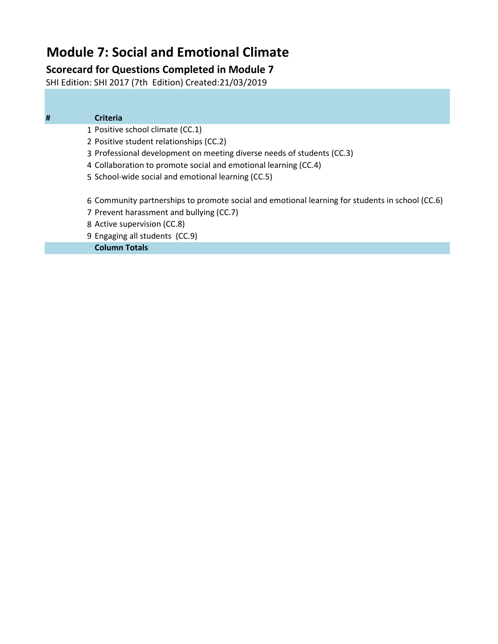# **Module 7: Social and Emotional Climate**

### **Scorecard for Questions Completed in Module 7**

SHI Edition: SHI 2017 (7th Edition) Created:21/03/2019

| Ħ |  | <b>Criteria</b> |   |  |
|---|--|-----------------|---|--|
|   |  | $\cdots$        | ٠ |  |

- Positive school climate (CC.1)
- Positive student relationships (CC.2)
- Professional development on meeting diverse needs of students (CC.3)
- Collaboration to promote social and emotional learning (CC.4)
- School-wide social and emotional learning (CC.5)
- Community partnerships to promote social and emotional learning for students in school (CC.6)
- Prevent harassment and bullying (CC.7)
- Active supervision (CC.8)
- Engaging all students (CC.9)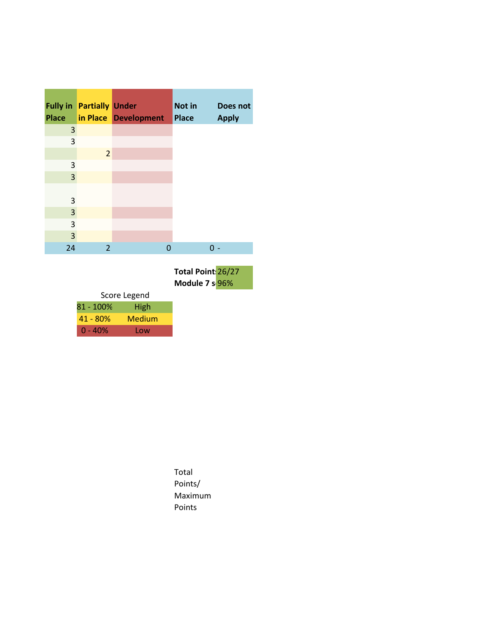| <b>Place</b> | <b>Fully in Partially Under</b> | in Place Development | Not in<br><b>Place</b>               | Does not<br><b>Apply</b> |
|--------------|---------------------------------|----------------------|--------------------------------------|--------------------------|
| 3            |                                 |                      |                                      |                          |
| 3            |                                 |                      |                                      |                          |
|              | $\overline{2}$                  |                      |                                      |                          |
| 3            |                                 |                      |                                      |                          |
| 3            |                                 |                      |                                      |                          |
|              |                                 |                      |                                      |                          |
| 3            |                                 |                      |                                      |                          |
| 3            |                                 |                      |                                      |                          |
| 3            |                                 |                      |                                      |                          |
| 3            |                                 |                      |                                      |                          |
| 24           | 2                               | $\mathbf 0$          | $0 -$                                |                          |
|              |                                 |                      | Total Point: 26/27<br>Module 7 s 96% |                          |

81 - 100% High 41 - 80% Medium  $0 - 40%$ Score Legend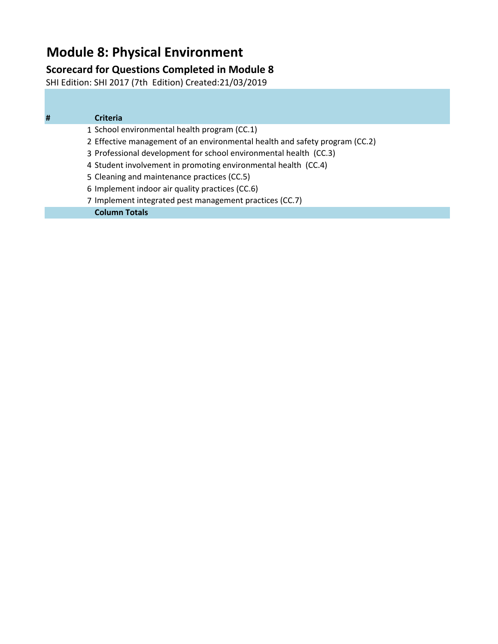# **Module 8: Physical Environment**

### **Scorecard for Questions Completed in Module 8**

SHI Edition: SHI 2017 (7th Edition) Created:21/03/2019

| # | <b>Criteria</b> |
|---|-----------------|
|   |                 |

- 1 School environmental health program (CC.1)
- 2 Effective management of an environmental health and safety program (CC.2)
- 3 Professional development for school environmental health (CC.3)
- 4 Student involvement in promoting environmental health (CC.4)
- 5 Cleaning and maintenance practices (CC.5)
- 6 Implement indoor air quality practices (CC.6)
- 7 Implement integrated pest management practices (CC.7)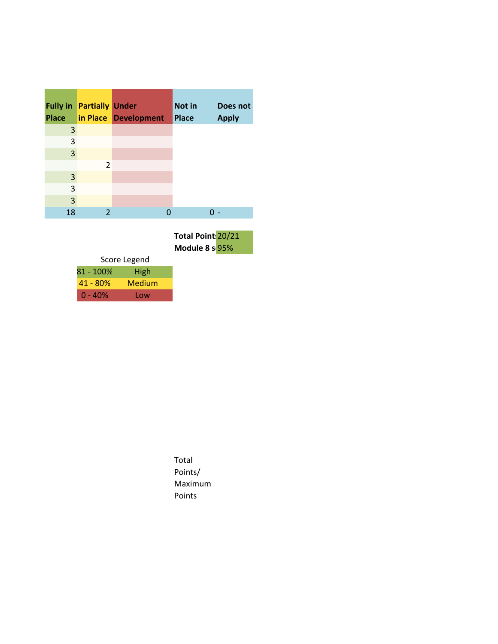| <b>Fully in</b> | <b>Partially Under</b> |                      | Not in       | Does not     |
|-----------------|------------------------|----------------------|--------------|--------------|
| <b>Place</b>    |                        | in Place Development | <b>Place</b> | <b>Apply</b> |
| 3               |                        |                      |              |              |
| 3               |                        |                      |              |              |
| 3               |                        |                      |              |              |
|                 | 2                      |                      |              |              |
| 3               |                        |                      |              |              |
| 3               |                        |                      |              |              |
| 3               |                        |                      |              |              |
| 18              | 2                      |                      |              |              |

**Total Point:** 20/21 **Module 8 s** 95%

|            | Score Legend |
|------------|--------------|
| 81 - 100%  | <b>High</b>  |
| $41 - 80%$ | Medium       |
| $0 - 40%$  | Low          |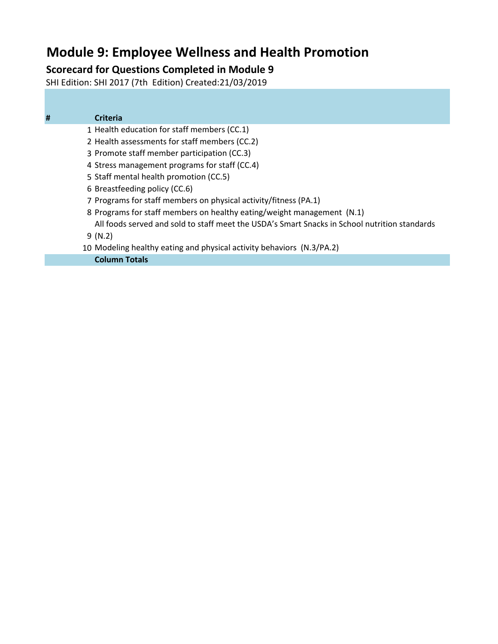# **Module 9: Employee Wellness and Health Promotion**

### **Scorecard for Questions Completed in Module 9**

SHI Edition: SHI 2017 (7th Edition) Created:21/03/2019

### **# Criteria**

- Health education for staff members (CC.1)
- Health assessments for staff members (CC.2)
- Promote staff member participation (CC.3)
- Stress management programs for staff (CC.4)
- Staff mental health promotion (CC.5)
- Breastfeeding policy (CC.6)
- Programs for staff members on physical activity/fitness (PA.1)
- Programs for staff members on healthy eating/weight management (N.1) All foods served and sold to staff meet the USDA's Smart Snacks in School nutrition standards
- (N.2)
- Modeling healthy eating and physical activity behaviors (N.3/PA.2)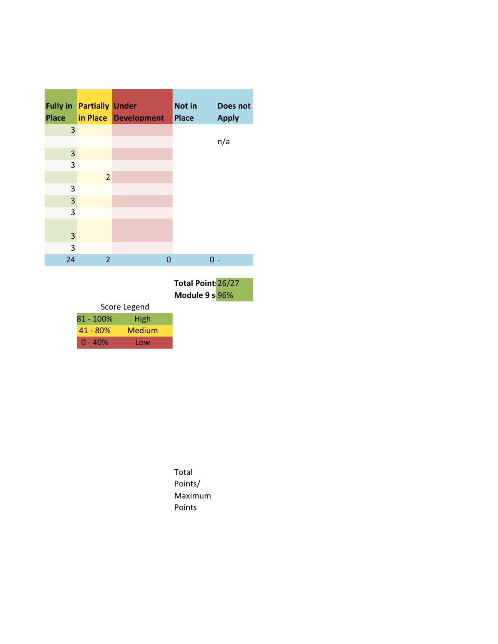| <b>Place</b>            | <b>Fully in Partially Under</b> | in Place Development | Not in<br><b>Place</b> | Does not<br><b>Apply</b> |
|-------------------------|---------------------------------|----------------------|------------------------|--------------------------|
| 3                       |                                 |                      |                        |                          |
|                         |                                 |                      |                        | n/a                      |
| 3                       |                                 |                      |                        |                          |
| 3                       |                                 |                      |                        |                          |
|                         | $\overline{2}$                  |                      |                        |                          |
| 3                       |                                 |                      |                        |                          |
| $\mathbf{3}$            |                                 |                      |                        |                          |
| 3                       |                                 |                      |                        |                          |
|                         |                                 |                      |                        |                          |
| $\mathbf{3}$            |                                 |                      |                        |                          |
| $\overline{\mathbf{3}}$ |                                 |                      |                        |                          |
| 24                      | $\overline{2}$                  | 0                    |                        | $0 -$                    |
|                         |                                 |                      |                        | $\sim$                   |

**Total Point: 26/27** Module 9 s 96%

Score Legend

| $81 - 100\%$ | <b>High</b> |
|--------------|-------------|
| $41 - 80%$   | Medium      |
| $0 - 40%$    | Low         |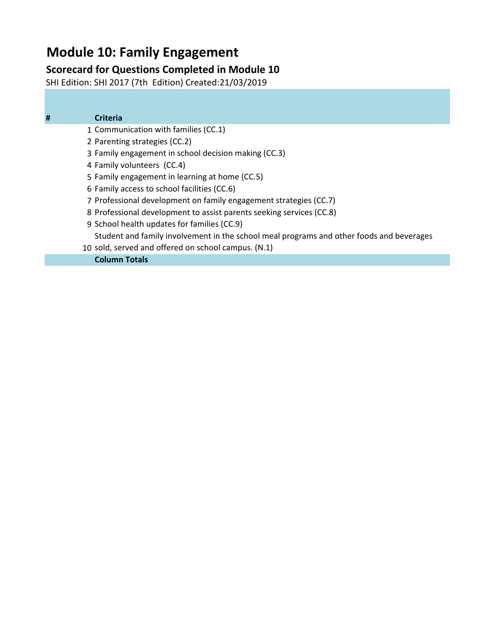# **Module 10: Family Engagement**

### **Scorecard for Questions Completed in Module 10**

SHI Edition: SHI 2017 (7th Edition) Created:21/03/2019

## **# Criteria**

- Communication with families (CC.1)
- Parenting strategies (CC.2)
- Family engagement in school decision making (CC.3)
- Family volunteers (CC.4)
- Family engagement in learning at home (CC.5)
- Family access to school facilities (CC.6)
- Professional development on family engagement strategies (CC.7)
- Professional development to assist parents seeking services (CC.8)
- School health updates for families (CC.9) Student and family involvement in the school meal programs and other foods and beverages
- sold, served and offered on school campus. (N.1)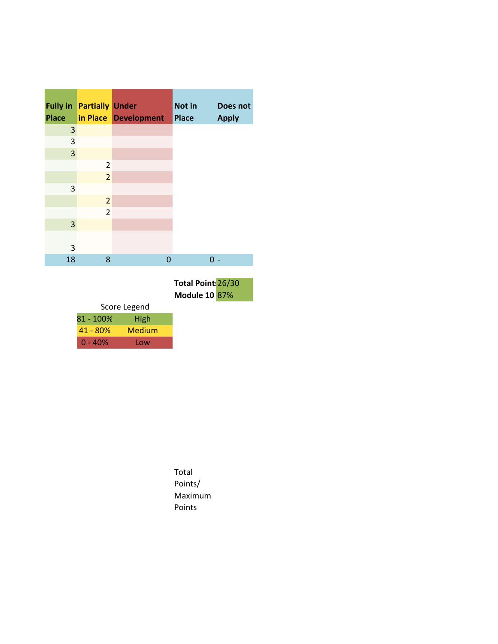| <b>Place</b> | <b>Fully in Partially Under</b> | in Place Development | Not in<br><b>Place</b> | Does not<br><b>Apply</b> |
|--------------|---------------------------------|----------------------|------------------------|--------------------------|
| 3            |                                 |                      |                        |                          |
| 3            |                                 |                      |                        |                          |
| 3            |                                 |                      |                        |                          |
|              | 2                               |                      |                        |                          |
|              | $\overline{2}$                  |                      |                        |                          |
| 3            |                                 |                      |                        |                          |
|              | $\overline{2}$                  |                      |                        |                          |
|              | $\overline{2}$                  |                      |                        |                          |
| 3            |                                 |                      |                        |                          |
|              |                                 |                      |                        |                          |
| 3            |                                 |                      |                        |                          |
| 18           | 8                               | ი                    | Ω                      |                          |
|              |                                 |                      |                        |                          |

**Total Point** 26/30 **Module 10 87%** 

Score Legend

| $81 - 100\%$ | High   |
|--------------|--------|
| $41 - 80%$   | Medium |
| $0 - 40%$    | Low    |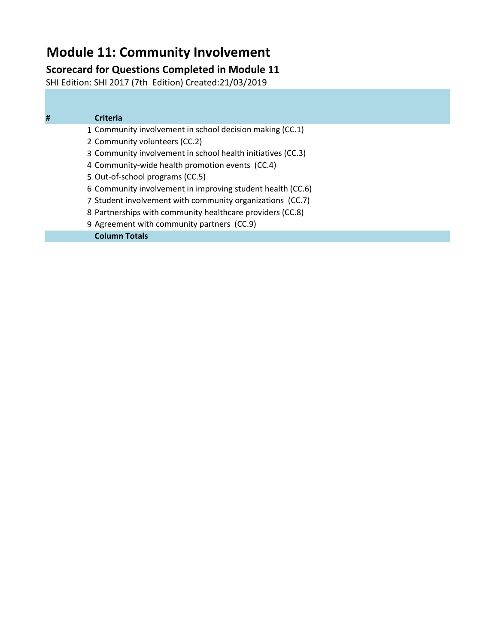# **Module 11: Community Involvement**

### **Scorecard for Questions Completed in Module 11**

SHI Edition: SHI 2017 (7th Edition) Created:21/03/2019

### **# Criteria**

- Community involvement in school decision making (CC.1)
- Community volunteers (CC.2)
- Community involvement in school health initiatives (CC.3)
- Community-wide health promotion events (CC.4)
- Out-of-school programs (CC.5)
- Community involvement in improving student health (CC.6)
- Student involvement with community organizations (CC.7)
- Partnerships with community healthcare providers (CC.8)
- Agreement with community partners (CC.9)